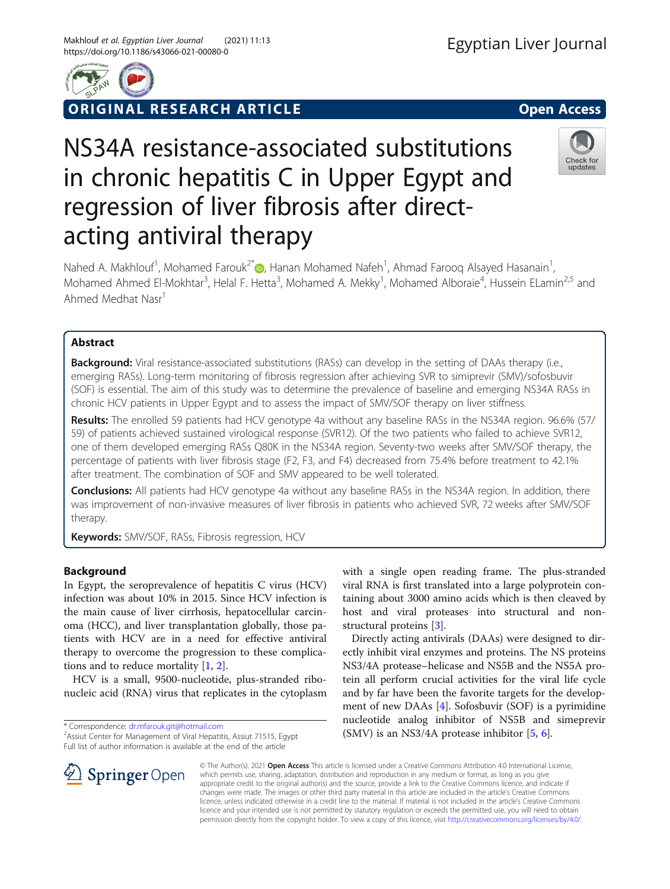

# ORIGINAL RESEARCH ARTICLE **External of the Contract Open Access**

# NS34A resistance-associated substitutions in chronic hepatitis C in Upper Egypt and regression of liver fibrosis after directacting antiviral therapy



Nahed A. Makhlouf<sup>1</sup>, Mohamed Farouk<sup>2[\\*](http://orcid.org/0000-0002-3951-1567)</sup> (D, Hanan Mohamed Nafeh<sup>1</sup>, Ahmad Farooq Alsayed Hasanain<sup>1</sup> , Mohamed Ahmed El-Mokhtar<sup>3</sup>, Helal F. Hetta<sup>3</sup>, Mohamed A. Mekky<sup>1</sup>, Mohamed Alboraie<sup>4</sup>, Hussein ELamin<sup>2,5</sup> and Ahmed Medhat Nasr<sup>1</sup>

# Abstract

**Background:** Viral resistance-associated substitutions (RASs) can develop in the setting of DAAs therapy (i.e., emerging RASs). Long-term monitoring of fibrosis regression after achieving SVR to simiprevir (SMV)/sofosbuvir (SOF) is essential. The aim of this study was to determine the prevalence of baseline and emerging NS34A RASs in chronic HCV patients in Upper Egypt and to assess the impact of SMV/SOF therapy on liver stiffness.

Results: The enrolled 59 patients had HCV genotype 4a without any baseline RASs in the NS34A region. 96.6% (57/ 59) of patients achieved sustained virological response (SVR12). Of the two patients who failed to achieve SVR12, one of them developed emerging RASs Q80K in the NS34A region. Seventy-two weeks after SMV/SOF therapy, the percentage of patients with liver fibrosis stage (F2, F3, and F4) decreased from 75.4% before treatment to 42.1% after treatment. The combination of SOF and SMV appeared to be well tolerated.

Conclusions: All patients had HCV genotype 4a without any baseline RASs in the NS34A region. In addition, there was improvement of non-invasive measures of liver fibrosis in patients who achieved SVR, 72 weeks after SMV/SOF therapy.

**Keywords:** SMV/SOF, RASs, Fibrosis regression, HCV

# Background

In Egypt, the seroprevalence of hepatitis C virus (HCV) infection was about 10% in 2015. Since HCV infection is the main cause of liver cirrhosis, hepatocellular carcinoma (HCC), and liver transplantation globally, those patients with HCV are in a need for effective antiviral therapy to overcome the progression to these complications and to reduce mortality [[1](#page-6-0), [2](#page-6-0)].

HCV is a small, 9500-nucleotide, plus-stranded ribonucleic acid (RNA) virus that replicates in the cytoplasm

\* Correspondence: [dr.mfarouk.git@hotmail.com](mailto:dr.mfarouk.git@hotmail.com) <sup>2</sup>

<sup>2</sup> Assiut Center for Management of Viral Hepatitis, Assiut 71515, Egypt Full list of author information is available at the end of the article

with a single open reading frame. The plus-stranded viral RNA is first translated into a large polyprotein containing about 3000 amino acids which is then cleaved by host and viral proteases into structural and nonstructural proteins [[3](#page-6-0)].

Directly acting antivirals (DAAs) were designed to directly inhibit viral enzymes and proteins. The NS proteins NS3/4A protease–helicase and NS5B and the NS5A protein all perform crucial activities for the viral life cycle and by far have been the favorite targets for the development of new DAAs [[4\]](#page-6-0). Sofosbuvir (SOF) is a pyrimidine nucleotide analog inhibitor of NS5B and simeprevir (SMV) is an NS3/4A protease inhibitor [\[5](#page-6-0), [6](#page-6-0)].



© The Author(s). 2021 Open Access This article is licensed under a Creative Commons Attribution 4.0 International License, which permits use, sharing, adaptation, distribution and reproduction in any medium or format, as long as you give appropriate credit to the original author(s) and the source, provide a link to the Creative Commons licence, and indicate if changes were made. The images or other third party material in this article are included in the article's Creative Commons licence, unless indicated otherwise in a credit line to the material. If material is not included in the article's Creative Commons licence and your intended use is not permitted by statutory regulation or exceeds the permitted use, you will need to obtain permission directly from the copyright holder. To view a copy of this licence, visit <http://creativecommons.org/licenses/by/4.0/>.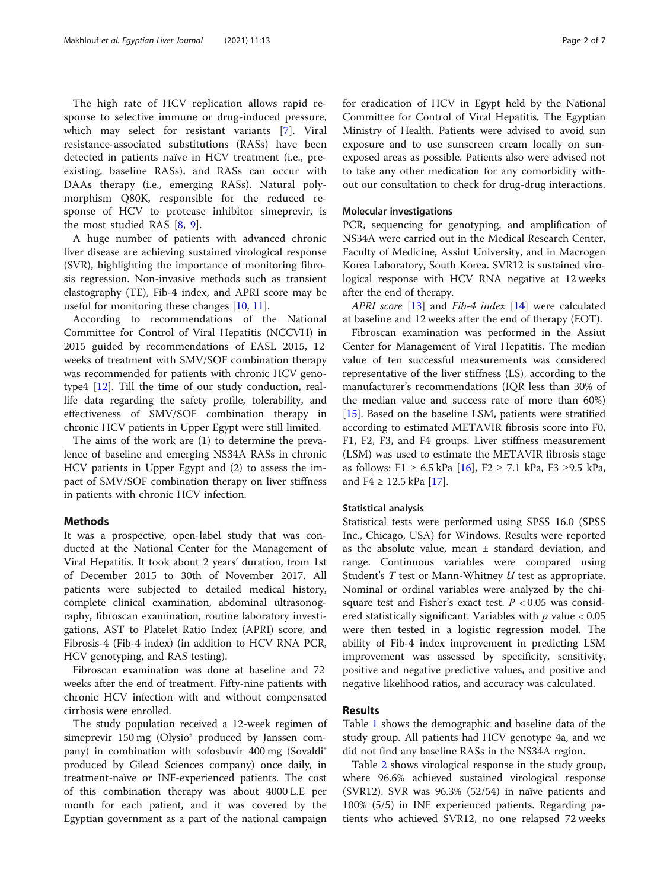The high rate of HCV replication allows rapid response to selective immune or drug-induced pressure, which may select for resistant variants [[7\]](#page-6-0). Viral resistance-associated substitutions (RASs) have been detected in patients naïve in HCV treatment (i.e., preexisting, baseline RASs), and RASs can occur with DAAs therapy (i.e., emerging RASs). Natural polymorphism Q80K, responsible for the reduced response of HCV to protease inhibitor simeprevir, is the most studied RAS [[8,](#page-6-0) [9](#page-6-0)].

A huge number of patients with advanced chronic liver disease are achieving sustained virological response (SVR), highlighting the importance of monitoring fibrosis regression. Non-invasive methods such as transient elastography (TE), Fib-4 index, and APRI score may be useful for monitoring these changes [[10,](#page-6-0) [11\]](#page-6-0).

According to recommendations of the National Committee for Control of Viral Hepatitis (NCCVH) in 2015 guided by recommendations of EASL 2015, 12 weeks of treatment with SMV/SOF combination therapy was recommended for patients with chronic HCV genotype4 [\[12\]](#page-6-0). Till the time of our study conduction, reallife data regarding the safety profile, tolerability, and effectiveness of SMV/SOF combination therapy in chronic HCV patients in Upper Egypt were still limited.

The aims of the work are (1) to determine the prevalence of baseline and emerging NS34A RASs in chronic HCV patients in Upper Egypt and (2) to assess the impact of SMV/SOF combination therapy on liver stiffness in patients with chronic HCV infection.

# Methods

It was a prospective, open-label study that was conducted at the National Center for the Management of Viral Hepatitis. It took about 2 years' duration, from 1st of December 2015 to 30th of November 2017. All patients were subjected to detailed medical history, complete clinical examination, abdominal ultrasonography, fibroscan examination, routine laboratory investigations, AST to Platelet Ratio Index (APRI) score, and Fibrosis-4 (Fib-4 index) (in addition to HCV RNA PCR, HCV genotyping, and RAS testing).

Fibroscan examination was done at baseline and 72 weeks after the end of treatment. Fifty-nine patients with chronic HCV infection with and without compensated cirrhosis were enrolled.

The study population received a 12-week regimen of simeprevir 150 mg (Olysio® produced by Janssen company) in combination with sofosbuvir 400 mg (Sovaldi® produced by Gilead Sciences company) once daily, in treatment-naïve or INF-experienced patients. The cost of this combination therapy was about 4000 L.E per month for each patient, and it was covered by the Egyptian government as a part of the national campaign for eradication of HCV in Egypt held by the National Committee for Control of Viral Hepatitis, The Egyptian Ministry of Health. Patients were advised to avoid sun exposure and to use sunscreen cream locally on sunexposed areas as possible. Patients also were advised not to take any other medication for any comorbidity without our consultation to check for drug-drug interactions.

# Molecular investigations

PCR, sequencing for genotyping, and amplification of NS34A were carried out in the Medical Research Center, Faculty of Medicine, Assiut University, and in Macrogen Korea Laboratory, South Korea. SVR12 is sustained virological response with HCV RNA negative at 12 weeks after the end of therapy.

APRI score [\[13](#page-6-0)] and Fib-4 index [[14\]](#page-6-0) were calculated at baseline and 12 weeks after the end of therapy (EOT).

Fibroscan examination was performed in the Assiut Center for Management of Viral Hepatitis. The median value of ten successful measurements was considered representative of the liver stiffness (LS), according to the manufacturer's recommendations (IQR less than 30% of the median value and success rate of more than 60%) [[15\]](#page-6-0). Based on the baseline LSM, patients were stratified according to estimated METAVIR fibrosis score into F0, F1, F2, F3, and F4 groups. Liver stiffness measurement (LSM) was used to estimate the METAVIR fibrosis stage as follows: F1 ≥ 6.5 kPa [\[16](#page-6-0)], F2 ≥ 7.1 kPa, F3 ≥9.5 kPa, and  $F4 \ge 12.5$  kPa [[17\]](#page-6-0).

# Statistical analysis

Statistical tests were performed using SPSS 16.0 (SPSS Inc., Chicago, USA) for Windows. Results were reported as the absolute value, mean ± standard deviation, and range. Continuous variables were compared using Student's  $T$  test or Mann-Whitney  $U$  test as appropriate. Nominal or ordinal variables were analyzed by the chisquare test and Fisher's exact test.  $P < 0.05$  was considered statistically significant. Variables with  $p$  value  $< 0.05$ were then tested in a logistic regression model. The ability of Fib-4 index improvement in predicting LSM improvement was assessed by specificity, sensitivity, positive and negative predictive values, and positive and negative likelihood ratios, and accuracy was calculated.

# Results

Table [1](#page-2-0) shows the demographic and baseline data of the study group. All patients had HCV genotype 4a, and we did not find any baseline RASs in the NS34A region.

Table [2](#page-2-0) shows virological response in the study group, where 96.6% achieved sustained virological response (SVR12). SVR was 96.3% (52/54) in naïve patients and 100% (5/5) in INF experienced patients. Regarding patients who achieved SVR12, no one relapsed 72 weeks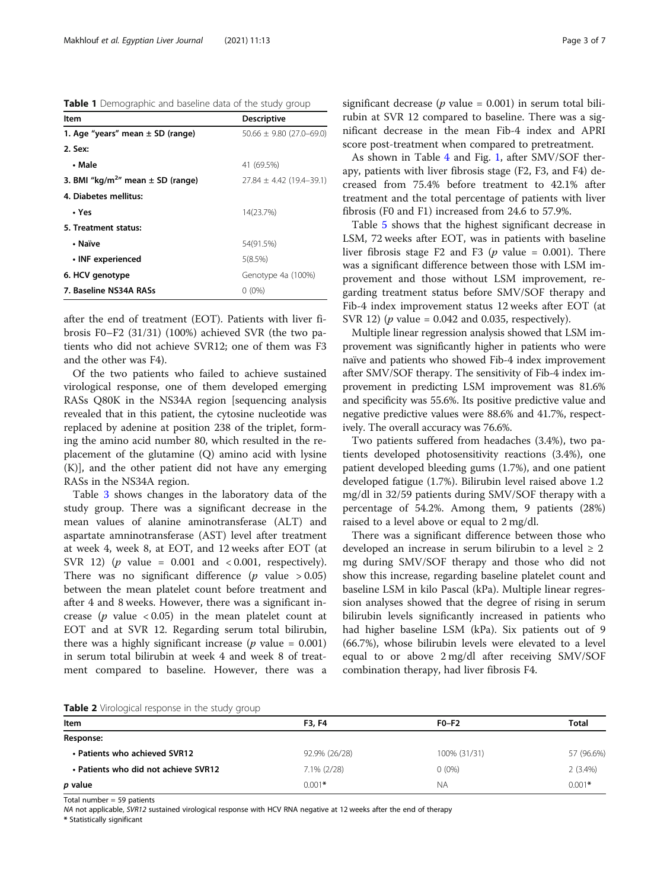<span id="page-2-0"></span>Table 1 Demographic and baseline data of the study group

| ltem                                              | <b>Descriptive</b>           |
|---------------------------------------------------|------------------------------|
| 1. Age "years" mean $\pm$ SD (range)              | $50.66 \pm 9.80$ (27.0-69.0) |
| 2. Sex:                                           |                              |
| • Male                                            | 41 (69.5%)                   |
| 3. BMI "kg/m <sup>2</sup> " mean $\pm$ SD (range) | $27.84 \pm 4.42$ (19.4-39.1) |
| 4. Diabetes mellitus:                             |                              |
| • Yes                                             | 14(23.7%)                    |
| 5. Treatment status:                              |                              |
| • Naïve                                           | 54(91.5%)                    |
| • INF experienced                                 | 5(8.5%)                      |
| 6. HCV genotype                                   | Genotype 4a (100%)           |
| 7. Baseline NS34A RASs                            | $0(0\%)$                     |

after the end of treatment (EOT). Patients with liver fibrosis F0–F2 (31/31) (100%) achieved SVR (the two patients who did not achieve SVR12; one of them was F3 and the other was F4).

Of the two patients who failed to achieve sustained virological response, one of them developed emerging RASs Q80K in the NS34A region [sequencing analysis revealed that in this patient, the cytosine nucleotide was replaced by adenine at position 238 of the triplet, forming the amino acid number 80, which resulted in the replacement of the glutamine (Q) amino acid with lysine (K)], and the other patient did not have any emerging RASs in the NS34A region.

Table [3](#page-3-0) shows changes in the laboratory data of the study group. There was a significant decrease in the mean values of alanine aminotransferase (ALT) and aspartate amninotransferase (AST) level after treatment at week 4, week 8, at EOT, and 12 weeks after EOT (at SVR 12) ( $p$  value = 0.001 and < 0.001, respectively). There was no significant difference ( $p$  value > 0.05) between the mean platelet count before treatment and after 4 and 8 weeks. However, there was a significant increase ( $p$  value < 0.05) in the mean platelet count at EOT and at SVR 12. Regarding serum total bilirubin, there was a highly significant increase ( $p$  value = 0.001) in serum total bilirubin at week 4 and week 8 of treatment compared to baseline. However, there was a

significant decrease ( $p$  value = 0.001) in serum total bilirubin at SVR 12 compared to baseline. There was a significant decrease in the mean Fib-4 index and APRI score post-treatment when compared to pretreatment.

As shown in Table [4](#page-3-0) and Fig. [1,](#page-4-0) after SMV/SOF therapy, patients with liver fibrosis stage (F2, F3, and F4) decreased from 75.4% before treatment to 42.1% after treatment and the total percentage of patients with liver fibrosis (F0 and F1) increased from 24.6 to 57.9%.

Table [5](#page-4-0) shows that the highest significant decrease in LSM, 72 weeks after EOT, was in patients with baseline liver fibrosis stage F2 and F3 ( $p$  value = 0.001). There was a significant difference between those with LSM improvement and those without LSM improvement, regarding treatment status before SMV/SOF therapy and Fib-4 index improvement status 12 weeks after EOT (at SVR 12) ( $p$  value = 0.042 and 0.035, respectively).

Multiple linear regression analysis showed that LSM improvement was significantly higher in patients who were naïve and patients who showed Fib-4 index improvement after SMV/SOF therapy. The sensitivity of Fib-4 index improvement in predicting LSM improvement was 81.6% and specificity was 55.6%. Its positive predictive value and negative predictive values were 88.6% and 41.7%, respectively. The overall accuracy was 76.6%.

Two patients suffered from headaches (3.4%), two patients developed photosensitivity reactions (3.4%), one patient developed bleeding gums (1.7%), and one patient developed fatigue (1.7%). Bilirubin level raised above 1.2 mg/dl in 32/59 patients during SMV/SOF therapy with a percentage of 54.2%. Among them, 9 patients (28%) raised to a level above or equal to 2 mg/dl.

There was a significant difference between those who developed an increase in serum bilirubin to a level  $\geq 2$ mg during SMV/SOF therapy and those who did not show this increase, regarding baseline platelet count and baseline LSM in kilo Pascal (kPa). Multiple linear regression analyses showed that the degree of rising in serum bilirubin levels significantly increased in patients who had higher baseline LSM (kPa). Six patients out of 9 (66.7%), whose bilirubin levels were elevated to a level equal to or above 2 mg/dl after receiving SMV/SOF combination therapy, had liver fibrosis F4.

| Table 2 Virological response in the study group |  |  |  |  |  |  |  |
|-------------------------------------------------|--|--|--|--|--|--|--|
|-------------------------------------------------|--|--|--|--|--|--|--|

| Item                                 | <b>F3, F4</b>  | $F0-F2$      | <b>Total</b> |
|--------------------------------------|----------------|--------------|--------------|
| Response:                            |                |              |              |
| • Patients who achieved SVR12        | 92.9% (26/28)  | 100% (31/31) | 57 (96.6%)   |
| • Patients who did not achieve SVR12 | $7.1\%$ (2/28) | $0(0\%)$     | 2(3.4%)      |
| p value                              | $0.001*$       | ΝA           | $0.001*$     |

Total number  $= 59$  patients

NA not applicable, SVR12 sustained virological response with HCV RNA negative at 12 weeks after the end of therapy

\* Statistically significant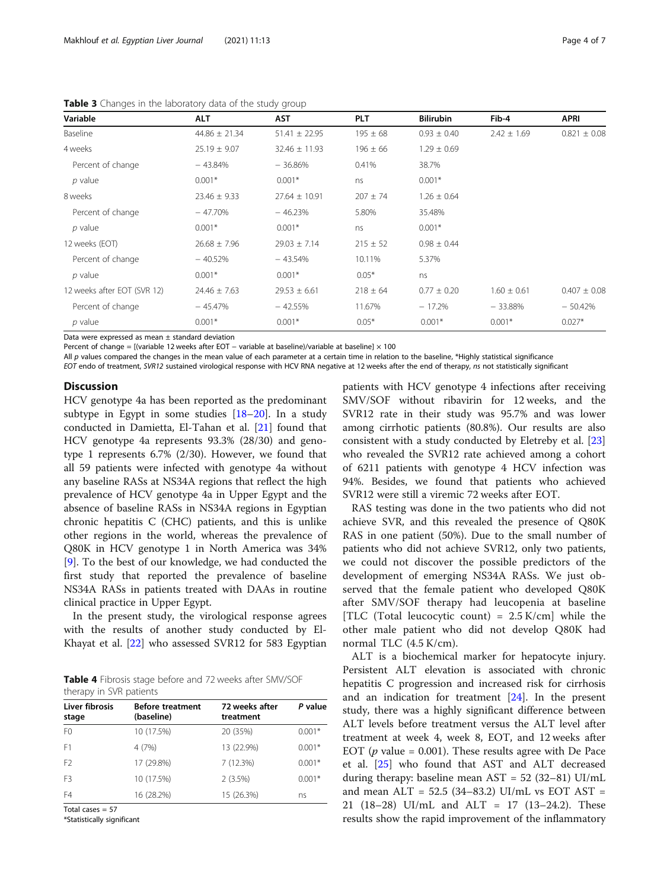| Variable                    | <b>ALT</b>        | <b>AST</b>        | <b>PLT</b>   | <b>Bilirubin</b> | Fib-4           | <b>APRI</b>      |
|-----------------------------|-------------------|-------------------|--------------|------------------|-----------------|------------------|
| Baseline                    | $44.86 \pm 21.34$ | $51.41 \pm 22.95$ | $195 \pm 68$ | $0.93 \pm 0.40$  | $2.42 \pm 1.69$ | $0.821 \pm 0.08$ |
| 4 weeks                     | $25.19 \pm 9.07$  | $32.46 \pm 11.93$ | $196 \pm 66$ | $1.29 \pm 0.69$  |                 |                  |
| Percent of change           | $-43.84%$         | $-36.86%$         | 0.41%        | 38.7%            |                 |                  |
| $p$ value                   | $0.001*$          | $0.001*$          | ns           | $0.001*$         |                 |                  |
| 8 weeks                     | $23.46 \pm 9.33$  | $27.64 \pm 10.91$ | $207 \pm 74$ | $1.26 \pm 0.64$  |                 |                  |
| Percent of change           | $-47.70%$         | $-46.23%$         | 5.80%        | 35.48%           |                 |                  |
| $p$ value                   | $0.001*$          | $0.001*$          | ns           | $0.001*$         |                 |                  |
| 12 weeks (EOT)              | $26.68 \pm 7.96$  | $29.03 \pm 7.14$  | $215 \pm 52$ | $0.98 \pm 0.44$  |                 |                  |
| Percent of change           | $-40.52%$         | $-43.54%$         | 10.11%       | 5.37%            |                 |                  |
| $p$ value                   | $0.001*$          | $0.001*$          | $0.05*$      | ns               |                 |                  |
| 12 weeks after EOT (SVR 12) | $24.46 \pm 7.63$  | $29.53 \pm 6.61$  | $218 \pm 64$ | $0.77 \pm 0.20$  | $1.60 \pm 0.61$ | $0.407 \pm 0.08$ |
| Percent of change           | $-45.47%$         | $-42.55%$         | 11.67%       | $-17.2%$         | $-33.88%$       | $-50.42%$        |
| $p$ value                   | $0.001*$          | $0.001*$          | $0.05*$      | $0.001*$         | $0.001*$        | $0.027*$         |

<span id="page-3-0"></span>Table 3 Changes in the laboratory data of the study group

Data were expressed as mean  $\pm$  standard deviation

Percent of change = [(variable 12 weeks after EOT – variable at baseline)/variable at baseline] × 100

All p values compared the changes in the mean value of each parameter at a certain time in relation to the baseline, \*Highly statistical significance

EOT endo of treatment, SVR12 sustained virological response with HCV RNA negative at 12 weeks after the end of therapy, ns not statistically significant

# **Discussion**

HCV genotype 4a has been reported as the predominant subtype in Egypt in some studies [[18](#page-6-0)–[20](#page-6-0)]. In a study conducted in Damietta, El-Tahan et al. [\[21](#page-6-0)] found that HCV genotype 4a represents 93.3% (28/30) and genotype 1 represents 6.7% (2/30). However, we found that all 59 patients were infected with genotype 4a without any baseline RASs at NS34A regions that reflect the high prevalence of HCV genotype 4a in Upper Egypt and the absence of baseline RASs in NS34A regions in Egyptian chronic hepatitis C (CHC) patients, and this is unlike other regions in the world, whereas the prevalence of Q80K in HCV genotype 1 in North America was 34% [[9\]](#page-6-0). To the best of our knowledge, we had conducted the first study that reported the prevalence of baseline NS34A RASs in patients treated with DAAs in routine clinical practice in Upper Egypt.

In the present study, the virological response agrees with the results of another study conducted by El-Khayat et al. [[22](#page-6-0)] who assessed SVR12 for 583 Egyptian

| Table 4 Fibrosis stage before and 72 weeks after SMV/SOF |  |  |
|----------------------------------------------------------|--|--|
| therapy in SVR patients                                  |  |  |

| Liver fibrosis<br>stage | <b>Before treatment</b><br>(baseline) | 72 weeks after<br>treatment | P value  |
|-------------------------|---------------------------------------|-----------------------------|----------|
| F <sub>0</sub>          | 10 (17.5%)                            | 20 (35%)                    | $0.001*$ |
| F <sub>1</sub>          | 4(7%)                                 | 13 (22.9%)                  | $0.001*$ |
| F <sub>2</sub>          | 17 (29.8%)                            | 7 (12.3%)                   | $0.001*$ |
| F <sub>3</sub>          | 10 (17.5%)                            | 2(3.5%)                     | $0.001*$ |
| F4                      | 16 (28.2%)                            | 15 (26.3%)                  | ns       |

Total cases = 57

\*Statistically significant

patients with HCV genotype 4 infections after receiving SMV/SOF without ribavirin for 12 weeks, and the SVR12 rate in their study was 95.7% and was lower among cirrhotic patients (80.8%). Our results are also consistent with a study conducted by Eletreby et al. [[23](#page-6-0)] who revealed the SVR12 rate achieved among a cohort of 6211 patients with genotype 4 HCV infection was 94%. Besides, we found that patients who achieved SVR12 were still a viremic 72 weeks after EOT.

RAS testing was done in the two patients who did not achieve SVR, and this revealed the presence of Q80K RAS in one patient (50%). Due to the small number of patients who did not achieve SVR12, only two patients, we could not discover the possible predictors of the development of emerging NS34A RASs. We just observed that the female patient who developed Q80K after SMV/SOF therapy had leucopenia at baseline [TLC (Total leucocytic count) =  $2.5$  K/cm] while the other male patient who did not develop Q80K had normal TLC (4.5 K/cm).

ALT is a biochemical marker for hepatocyte injury. Persistent ALT elevation is associated with chronic hepatitis C progression and increased risk for cirrhosis and an indication for treatment [\[24](#page-6-0)]. In the present study, there was a highly significant difference between ALT levels before treatment versus the ALT level after treatment at week 4, week 8, EOT, and 12 weeks after EOT ( $p$  value = 0.001). These results agree with De Pace et al. [[25\]](#page-6-0) who found that AST and ALT decreased during therapy: baseline mean  $AST = 52 (32-81) UI/mL$ and mean ALT = 52.5 (34–83.2) UI/mL vs EOT AST = 21 (18–28) UI/mL and ALT = 17 (13–24.2). These results show the rapid improvement of the inflammatory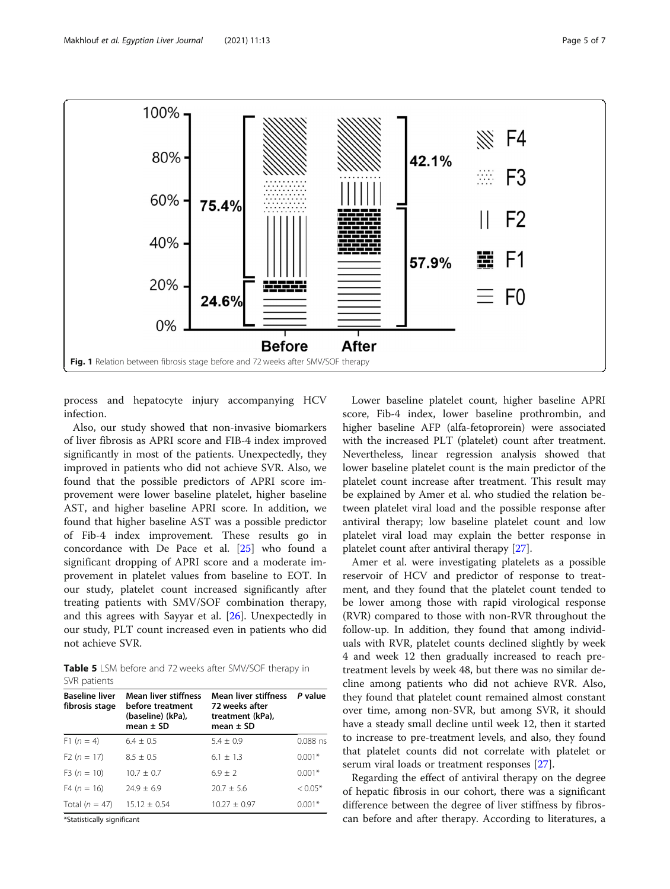<span id="page-4-0"></span>

process and hepatocyte injury accompanying HCV infection.

Also, our study showed that non-invasive biomarkers of liver fibrosis as APRI score and FIB-4 index improved significantly in most of the patients. Unexpectedly, they improved in patients who did not achieve SVR. Also, we found that the possible predictors of APRI score improvement were lower baseline platelet, higher baseline AST, and higher baseline APRI score. In addition, we found that higher baseline AST was a possible predictor of Fib-4 index improvement. These results go in concordance with De Pace et al. [[25](#page-6-0)] who found a significant dropping of APRI score and a moderate improvement in platelet values from baseline to EOT. In our study, platelet count increased significantly after treating patients with SMV/SOF combination therapy, and this agrees with Sayyar et al. [[26\]](#page-6-0). Unexpectedly in our study, PLT count increased even in patients who did not achieve SVR.

Table 5 LSM before and 72 weeks after SMV/SOF therapy in SVR patients

| <b>Baseline liver</b><br>fibrosis stage | <b>Mean liver stiffness</b><br>before treatment<br>(baseline) (kPa),<br>mean $\pm$ SD | Mean liver stiffness<br>72 weeks after<br>treatment (kPa),<br>mean $\pm$ SD | P value    |
|-----------------------------------------|---------------------------------------------------------------------------------------|-----------------------------------------------------------------------------|------------|
| $F1(n = 4)$                             | $6.4 + 0.5$                                                                           | $5.4 + 0.9$                                                                 | $0.088$ ns |
| $F2(n = 17)$                            | $8.5 + 0.5$                                                                           | $6.1 + 1.3$                                                                 | $0.001*$   |
| $F3(n = 10)$                            | $10.7 + 0.7$                                                                          | $6.9 + 2$                                                                   | $0.001*$   |
| $F4(n = 16)$                            | $74.9 + 6.9$                                                                          | $20.7 + 5.6$                                                                | $< 0.05*$  |
| Total $(n = 47)$                        | $15.12 \pm 0.54$                                                                      | $10.27 + 0.97$                                                              | $0.001*$   |

\*Statistically significant

Lower baseline platelet count, higher baseline APRI score, Fib-4 index, lower baseline prothrombin, and higher baseline AFP (alfa-fetoprorein) were associated with the increased PLT (platelet) count after treatment. Nevertheless, linear regression analysis showed that lower baseline platelet count is the main predictor of the platelet count increase after treatment. This result may be explained by Amer et al. who studied the relation between platelet viral load and the possible response after antiviral therapy; low baseline platelet count and low platelet viral load may explain the better response in platelet count after antiviral therapy [\[27\]](#page-6-0).

Amer et al. were investigating platelets as a possible reservoir of HCV and predictor of response to treatment, and they found that the platelet count tended to be lower among those with rapid virological response (RVR) compared to those with non-RVR throughout the follow-up. In addition, they found that among individuals with RVR, platelet counts declined slightly by week 4 and week 12 then gradually increased to reach pretreatment levels by week 48, but there was no similar decline among patients who did not achieve RVR. Also, they found that platelet count remained almost constant over time, among non-SVR, but among SVR, it should have a steady small decline until week 12, then it started to increase to pre-treatment levels, and also, they found that platelet counts did not correlate with platelet or serum viral loads or treatment responses [\[27\]](#page-6-0).

Regarding the effect of antiviral therapy on the degree of hepatic fibrosis in our cohort, there was a significant difference between the degree of liver stiffness by fibroscan before and after therapy. According to literatures, a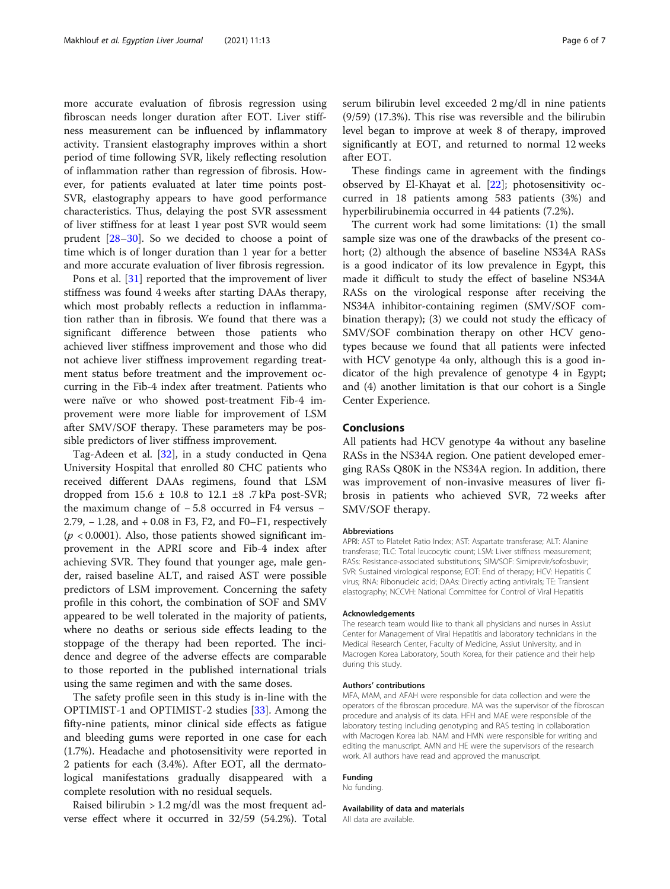more accurate evaluation of fibrosis regression using fibroscan needs longer duration after EOT. Liver stiffness measurement can be influenced by inflammatory activity. Transient elastography improves within a short period of time following SVR, likely reflecting resolution of inflammation rather than regression of fibrosis. However, for patients evaluated at later time points post-SVR, elastography appears to have good performance characteristics. Thus, delaying the post SVR assessment of liver stiffness for at least 1 year post SVR would seem prudent [\[28](#page-6-0)–[30\]](#page-6-0). So we decided to choose a point of time which is of longer duration than 1 year for a better and more accurate evaluation of liver fibrosis regression.

Pons et al. [[31\]](#page-6-0) reported that the improvement of liver stiffness was found 4 weeks after starting DAAs therapy, which most probably reflects a reduction in inflammation rather than in fibrosis. We found that there was a significant difference between those patients who achieved liver stiffness improvement and those who did not achieve liver stiffness improvement regarding treatment status before treatment and the improvement occurring in the Fib-4 index after treatment. Patients who were naïve or who showed post-treatment Fib-4 improvement were more liable for improvement of LSM after SMV/SOF therapy. These parameters may be possible predictors of liver stiffness improvement.

Tag-Adeen et al. [[32\]](#page-6-0), in a study conducted in Qena University Hospital that enrolled 80 CHC patients who received different DAAs regimens, found that LSM dropped from  $15.6 \pm 10.8$  to  $12.1 \pm 8$  .7 kPa post-SVR; the maximum change of − 5.8 occurred in F4 versus − 2.79, − 1.28, and + 0.08 in F3, F2, and F0–F1, respectively  $(p < 0.0001)$ . Also, those patients showed significant improvement in the APRI score and Fib-4 index after achieving SVR. They found that younger age, male gender, raised baseline ALT, and raised AST were possible predictors of LSM improvement. Concerning the safety profile in this cohort, the combination of SOF and SMV appeared to be well tolerated in the majority of patients, where no deaths or serious side effects leading to the stoppage of the therapy had been reported. The incidence and degree of the adverse effects are comparable to those reported in the published international trials using the same regimen and with the same doses.

The safety profile seen in this study is in-line with the OPTIMIST-1 and OPTIMIST-2 studies [\[33\]](#page-6-0). Among the fifty-nine patients, minor clinical side effects as fatigue and bleeding gums were reported in one case for each (1.7%). Headache and photosensitivity were reported in 2 patients for each (3.4%). After EOT, all the dermatological manifestations gradually disappeared with a complete resolution with no residual sequels.

Raised bilirubin  $> 1.2$  mg/dl was the most frequent adverse effect where it occurred in 32/59 (54.2%). Total serum bilirubin level exceeded 2 mg/dl in nine patients (9/59) (17.3%). This rise was reversible and the bilirubin level began to improve at week 8 of therapy, improved significantly at EOT, and returned to normal 12 weeks after EOT.

These findings came in agreement with the findings observed by El-Khayat et al. [[22\]](#page-6-0); photosensitivity occurred in 18 patients among 583 patients (3%) and hyperbilirubinemia occurred in 44 patients (7.2%).

The current work had some limitations: (1) the small sample size was one of the drawbacks of the present cohort; (2) although the absence of baseline NS34A RASs is a good indicator of its low prevalence in Egypt, this made it difficult to study the effect of baseline NS34A RASs on the virological response after receiving the NS34A inhibitor-containing regimen (SMV/SOF combination therapy); (3) we could not study the efficacy of SMV/SOF combination therapy on other HCV genotypes because we found that all patients were infected with HCV genotype 4a only, although this is a good indicator of the high prevalence of genotype 4 in Egypt; and (4) another limitation is that our cohort is a Single Center Experience.

# Conclusions

All patients had HCV genotype 4a without any baseline RASs in the NS34A region. One patient developed emerging RASs Q80K in the NS34A region. In addition, there was improvement of non-invasive measures of liver fibrosis in patients who achieved SVR, 72 weeks after SMV/SOF therapy.

## **Abbreviations**

APRI: AST to Platelet Ratio Index; AST: Aspartate transferase; ALT: Alanine transferase; TLC: Total leucocytic count; LSM: Liver stiffness measurement; RASs: Resistance-associated substitutions; SIM/SOF: Simiprevir/sofosbuvir; SVR: Sustained virological response; EOT: End of therapy; HCV: Hepatitis C virus; RNA: Ribonucleic acid; DAAs: Directly acting antivirals; TE: Transient elastography; NCCVH: National Committee for Control of Viral Hepatitis

#### Acknowledgements

The research team would like to thank all physicians and nurses in Assiut Center for Management of Viral Hepatitis and laboratory technicians in the Medical Research Center, Faculty of Medicine, Assiut University, and in Macrogen Korea Laboratory, South Korea, for their patience and their help during this study.

#### Authors' contributions

MFA, MAM, and AFAH were responsible for data collection and were the operators of the fibroscan procedure. MA was the supervisor of the fibroscan procedure and analysis of its data. HFH and MAE were responsible of the laboratory testing including genotyping and RAS testing in collaboration with Macrogen Korea lab. NAM and HMN were responsible for writing and editing the manuscript. AMN and HE were the supervisors of the research work. All authors have read and approved the manuscript.

#### Funding

No funding.

# Availability of data and materials

All data are available.